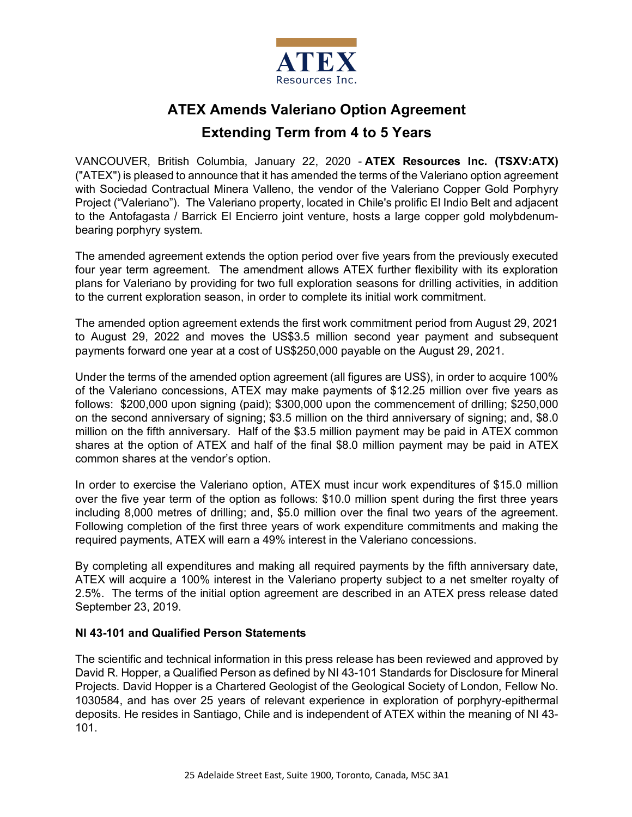

# **ATEX Amends Valeriano Option Agreement**

## **Extending Term from 4 to 5 Years**

VANCOUVER, British Columbia, January 22, 2020 - **ATEX Resources Inc. (TSXV:ATX)** ("ATEX") is pleased to announce that it has amended the terms of the Valeriano option agreement with Sociedad Contractual Minera Valleno, the vendor of the Valeriano Copper Gold Porphyry Project ("Valeriano"). The Valeriano property, located in Chile's prolific El Indio Belt and adjacent to the Antofagasta / Barrick El Encierro joint venture, hosts a large copper gold molybdenumbearing porphyry system.

The amended agreement extends the option period over five years from the previously executed four year term agreement. The amendment allows ATEX further flexibility with its exploration plans for Valeriano by providing for two full exploration seasons for drilling activities, in addition to the current exploration season, in order to complete its initial work commitment.

The amended option agreement extends the first work commitment period from August 29, 2021 to August 29, 2022 and moves the US\$3.5 million second year payment and subsequent payments forward one year at a cost of US\$250,000 payable on the August 29, 2021.

Under the terms of the amended option agreement (all figures are US\$), in order to acquire 100% of the Valeriano concessions, ATEX may make payments of \$12.25 million over five years as follows: \$200,000 upon signing (paid); \$300,000 upon the commencement of drilling; \$250,000 on the second anniversary of signing; \$3.5 million on the third anniversary of signing; and, \$8.0 million on the fifth anniversary. Half of the \$3.5 million payment may be paid in ATEX common shares at the option of ATEX and half of the final \$8.0 million payment may be paid in ATEX common shares at the vendor's option.

In order to exercise the Valeriano option, ATEX must incur work expenditures of \$15.0 million over the five year term of the option as follows: \$10.0 million spent during the first three years including 8,000 metres of drilling; and, \$5.0 million over the final two years of the agreement. Following completion of the first three years of work expenditure commitments and making the required payments, ATEX will earn a 49% interest in the Valeriano concessions.

By completing all expenditures and making all required payments by the fifth anniversary date, ATEX will acquire a 100% interest in the Valeriano property subject to a net smelter royalty of 2.5%. The terms of the initial option agreement are described in an ATEX press release dated September 23, 2019.

### **NI 43-101 and Qualified Person Statements**

The scientific and technical information in this press release has been reviewed and approved by David R. Hopper, a Qualified Person as defined by NI 43-101 Standards for Disclosure for Mineral Projects. David Hopper is a Chartered Geologist of the Geological Society of London, Fellow No. 1030584, and has over 25 years of relevant experience in exploration of porphyry-epithermal deposits. He resides in Santiago, Chile and is independent of ATEX within the meaning of NI 43- 101.